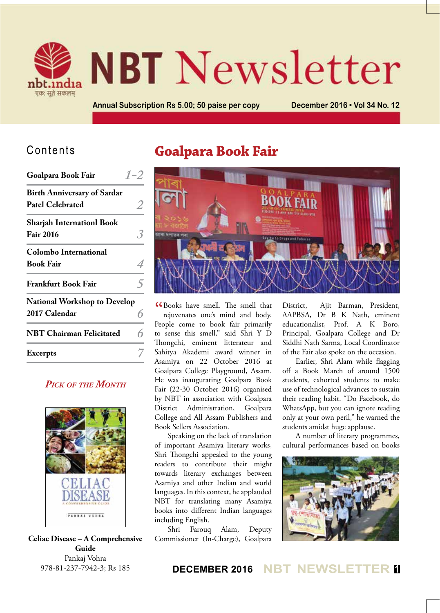

# **NBT** Newsletter

**Annual Subscription Rs 5.00; 50 paise per copy December 2016 • Vol 34 No. 12**

#### Contents

| Goalpara Book Fair                                            |  |
|---------------------------------------------------------------|--|
| <b>Birth Anniversary of Sardar</b><br><b>Patel Celebrated</b> |  |
| <b>Sharjah Internationl Book</b><br><b>Fair 2016</b>          |  |
| <b>Colombo International</b><br><b>Book Fair</b>              |  |
| <b>Frankfurt Book Fair</b>                                    |  |
| <b>National Workshop to Develop</b><br>2017 Calendar          |  |
| <b>NBT Chairman Felicitated</b>                               |  |
| <b>Excerpts</b>                                               |  |
|                                                               |  |

#### *Pick of the Month*



**Celiac Disease – A Comprehensive Guide** Pankaj Vohra 978-81-237-7942-3; Rs 185

# **Goalpara Book Fair**



CR Books have smell. The smell that<br>rejuvenates one's mind and body. rejuvenates one's mind and body. People come to book fair primarily to sense this smell," said Shri Y D Thongchi, eminent litterateur and Sahitya Akademi award winner in Asamiya on 22 October 2016 at Goalpara College Playground, Assam. He was inaugurating Goalpara Book Fair (22-30 October 2016) organised by NBT in association with Goalpara District Administration, Goalpara College and All Assam Publishers and Book Sellers Association.

Speaking on the lack of translation of important Asamiya literary works, Shri Thongchi appealed to the young readers to contribute their might towards literary exchanges between Asamiya and other Indian and world languages. In this context, he applauded NBT for translating many Asamiya books into different Indian languages including English.

Shri Farouq Alam, Deputy Commissioner (In-Charge), Goalpara District, Ajit Barman, President, AAPBSA, Dr B K Nath, eminent educationalist, Prof. A K Boro, Principal, Goalpara College and Dr Siddhi Nath Sarma, Local Coordinator of the Fair also spoke on the occasion.

Earlier, Shri Alam while flagging off a Book March of around 1500 students, exhorted students to make use of technological advances to sustain their reading habit. "Do Facebook, do WhatsApp, but you can ignore reading only at your own peril," he warned the students amidst huge applause.

A number of literary programmes, cultural performances based on books



#### **DECEMBER 2016 NBT NEWSLETTER <sup>1</sup>**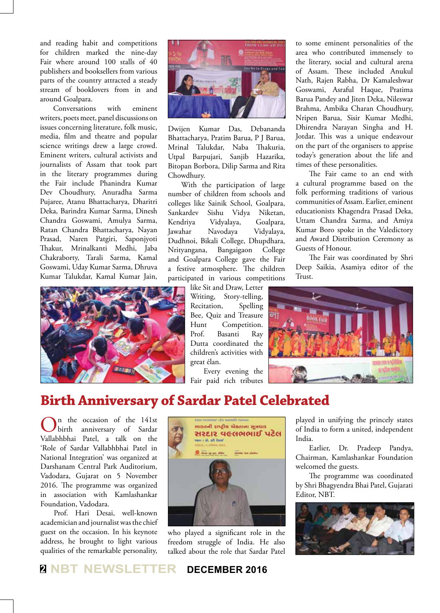and reading habit and competitions for children marked the nine-day Fair where around 100 stalls of 40 publishers and booksellers from various parts of the country attracted a steady stream of booklovers from in and around Goalpara.

Conversations with eminent writers, poets meet, panel discussions on issues concerning literature, folk music, media, film and theatre and popular science writings drew a large crowd. Eminent writers, cultural activists and journalists of Assam that took part in the literary programmes during the Fair include Phanindra Kumar Dev Choudhury, Anuradha Sarma Pujaree, Atanu Bhattacharya, Dharitri Deka, Barindra Kumar Sarma, Dinesh Chandra Goswami, Amulya Sarma, Ratan Chandra Bhattacharya, Nayan Prasad, Naren Patgiri, Saponjyoti Thakur, Mrinalkanti Medhi, Jaba Chakraborty, Tarali Sarma, Kamal Goswami, Uday Kumar Sarma, Dhruva Kumar Talukdar, Kamal Kumar Jain,





Dwijen Kumar Das, Debananda Bhattacharya, Pratim Barua, P J Barua, Mrinal Talukdar, Naba Thakuria, Utpal Barpujari, Sanjib Hazarika, Bitopan Borbora, Dilip Sarma and Rita Chowdhury.

With the participation of large number of children from schools and colleges like Sainik School, Goalpara, Sankardev Sishu Vidya Niketan, Kendriya Vidyalaya, Goalpara, Jawahar Navodaya Vidyalaya, Dudhnoi, Bikali College, Dhupdhara, Nrityangana, Bangaigaon College and Goalpara College gave the Fair a festive atmosphere. The children participated in various competitions

> like Sit and Draw, Letter Writing, Story-telling, Recitation, Spelling Bee, Quiz and Treasure Hunt Competition. Prof. Basanti Ray Dutta coordinated the children's activities with great élan.

Every evening the Fair paid rich tributes to some eminent personalities of the area who contributed immensely to the literary, social and cultural arena of Assam. These included Anukul Nath, Rajen Rabha, Dr Kamaleshwar Goswami, Asraful Haque, Pratima Barua Pandey and Jiten Deka, Nileswar Brahma, Ambika Charan Choudhury, Nripen Barua, Sisir Kumar Medhi, Dhirendra Narayan Singha and H. Jotdar. This was a unique endeavour on the part of the organisers to apprise today's generation about the life and times of these personalities.

The Fair came to an end with a cultural programme based on the folk performing traditions of various communities of Assam. Earlier, eminent educationists Khagendra Prasad Deka, Uttam Chandra Sarma, and Amiya Kumar Boro spoke in the Valedictory and Award Distribution Ceremony as Guests of Honour.

The Fair was coordinated by Shri Deep Saikia, Asamiya editor of the Trust.



# **Birth Anniversary of Sardar Patel Celebrated**

On the occasion of the 141st birth anniversary of Sardar Vallabhbhai Patel, a talk on the 'Role of Sardar Vallabhbhai Patel in National Integration' was organized at Darshanam Central Park Auditorium, Vadodara, Gujarat on 5 November 2016. The programme was organized in association with Kamlashankar Foundation, Vadodara.

Prof. Hari Desai, well-known academician and journalist was the chief guest on the occasion. In his keynote address, he brought to light various qualities of the remarkable personality,



who played a significant role in the freedom struggle of India. He also talked about the role that Sardar Patel played in unifying the princely states of India to form a united, independent India.

Earlier, Dr. Pradeep Pandya, Chairman, Kamlashankar Foundation welcomed the guests.

The programme was coordinated by Shri Bhagyendra Bhai Patel, Gujarati Editor, NBT.



#### **<sup>2</sup> NBT NEWSLETTER DECEMBER 2016**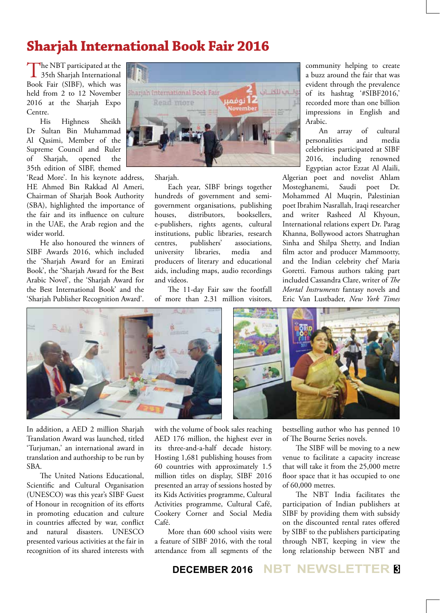# **Sharjah International Book Fair 2016**

The NBT participated at the 35th Sharjah International Book Fair (SIBF), which was held from 2 to 12 November 2016 at the Sharjah Expo Centre.

His Highness Sheikh Dr Sultan Bin Muhammad Al Qasimi, Member of the Supreme Council and Ruler of Sharjah, opened the 35th edition of SIBF, themed

'Read More'. In his keynote address, HE Ahmed Bin Rakkad Al Ameri, Chairman of Sharjah Book Authority (SBA), highlighted the importance of the fair and its influence on culture in the UAE, the Arab region and the wider world.

He also honoured the winners of SIBF Awards 2016, which included the 'Sharjah Award for an Emirati Book', the 'Sharjah Award for the Best Arabic Novel', the 'Sharjah Award for the Best International Book' and the 'Sharjah Publisher Recognition Award'.



Sharjah.

Each year, SIBF brings together hundreds of government and semigovernment organisations, publishing<br>houses, distributors, booksellers. houses, distributors, booksellers, e-publishers, rights agents, cultural institutions, public libraries, research centres, publishers' associations, university libraries, media and producers of literary and educational aids, including maps, audio recordings and videos.

The 11-day Fair saw the footfall of more than 2.31 million visitors,

community helping to create a buzz around the fair that was evident through the prevalence of its hashtag '#SIBF2016,' recorded more than one billion impressions in English and Arabic.

An array of cultural personalities and media celebrities participated at SIBF 2016, including renowned Egyptian actor Ezzat Al Alaili,

Algerian poet and novelist Ahlam Mosteghanemi, Saudi poet Dr. Mohammed Al Muqrin, Palestinian poet Ibrahim Nasrallah, Iraqi researcher and writer Rasheed Al Khyoun, International relations expert Dr. Parag Khanna, Bollywood actors Shatrughan Sinha and Shilpa Shetty, and Indian film actor and producer Mammootty, and the Indian celebrity chef Maria Goretti. Famous authors taking part included Cassandra Clare, writer of *The Mortal Instruments* fantasy novels and Eric Van Lustbader, *New York Times* 



In addition, a AED 2 million Sharjah Translation Award was launched, titled 'Turjuman,' an international award in translation and authorship to be run by SBA.

The United Nations Educational, Scientific and Cultural Organisation (UNESCO) was this year's SIBF Guest of Honour in recognition of its efforts in promoting education and culture in countries affected by war, conflict and natural disasters. UNESCO presented various activities at the fair in recognition of its shared interests with

with the volume of book sales reaching AED 176 million, the highest ever in its three-and-a-half decade history. Hosting 1,681 publishing houses from 60 countries with approximately 1.5 million titles on display, SIBF 2016 presented an array of sessions hosted by its Kids Activities programme, Cultural Activities programme, Cultural Café, Cookery Corner and Social Media Café.

More than 600 school visits were a feature of SIBF 2016, with the total attendance from all segments of the bestselling author who has penned 10 of The Bourne Series novels.

The SIBF will be moving to a new venue to facilitate a capacity increase that will take it from the 25,000 metre floor space that it has occupied to one of 60,000 metres.

The NBT India facilitates the participation of Indian publishers at SIBF by providing them with subsidy on the discounted rental rates offered by SIBF to the publishers participating through NBT, keeping in view the long relationship between NBT and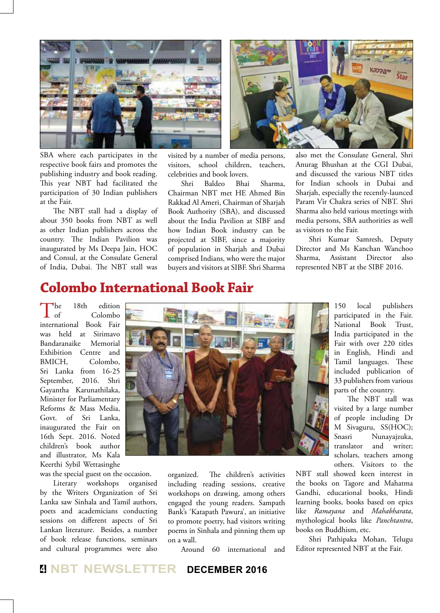

SBA where each participates in the respective book fairs and promotes the publishing industry and book reading. This year NBT had facilitated the participation of 30 Indian publishers at the Fair.

The NBT stall had a display of about 350 books from NBT as well as other Indian publishers across the country. The Indian Pavilion was inaugurated by Ms Deepa Jain, HOC and Consul, at the Consulate General of India, Dubai. The NBT stall was visited by a number of media persons, visitors, school children, teachers, celebrities and book lovers.

Shri Baldeo Bhai Sharma, Chairman NBT met HE Ahmed Bin Rakkad Al Ameri, Chairman of Sharjah Book Authority (SBA), and discussed about the India Pavilion at SIBF and how Indian Book industry can be projected at SIBF, since a majority of population in Sharjah and Dubai comprised Indians, who were the major buyers and visitors at SIBF. Shri Sharma

also met the Consulate General, Shri Anurag Bhushan at the CGI Dubai, and discussed the various NBT titles for Indian schools in Dubai and Sharjah, especially the recently-launced Param Vir Chakra series of NBT. Shri Sharma also held various meetings with media persons, SBA authorities as well as visitors to the Fair.

Shri Kumar Samresh, Deputy Director and Ms Kanchan Wanchoo Sharma, Assistant Director also represented NBT at the SIBF 2016.

#### **Colombo International Book Fair**

The 18th edition international Book Fair of Colombo was held at Sirimavo Bandaranaike Memorial Exhibition Centre and BMICH, Colombo, Sri Lanka from 16-25 September, 2016. Shri Gayantha Karunathilaka, Minister for Parliamentary Reforms & Mass Media, Govt. of Sri Lanka, inaugurated the Fair on 16th Sept. 2016. Noted children's book author and illustrator, Ms Kala Keerthi Sybil Wettasinghe

was the special guest on the occasion.

Literary workshops organised by the Writers Organization of Sri Lanka saw Sinhala and Tamil authors, poets and academicians conducting sessions on different aspects of Sri Lankan literature. Besides, a number of book release functions, seminars and cultural programmes were also



organized. The children's activities including reading sessions, creative workshops on drawing, among others engaged the young readers. Sampath Bank's 'Katapath Pawura', an initiative to promote poetry, had visitors writing poems in Sinhala and pinning them up on a wall.

Around 60 international and

150 local publishers participated in the Fair. National Book Trust, India participated in the Fair with over 220 titles in English, Hindi and Tamil languages. These included publication of 33 publishers from various parts of the country.

The NBT stall was visited by a large number of people including Dr M Sivaguru, SS(HOC); Snasri Nunayajzuka, translator and writer; scholars, teachers among others. Visitors to the

NBT stall showed keen interest in the books on Tagore and Mahatma Gandhi, educational books, Hindi learning books, books based on epics like *Ramayana* and *Mahabharata*, mythological books like *Panchtantra*, books on Buddhism, etc.

Shri Pathipaka Mohan, Telugu Editor represented NBT at the Fair.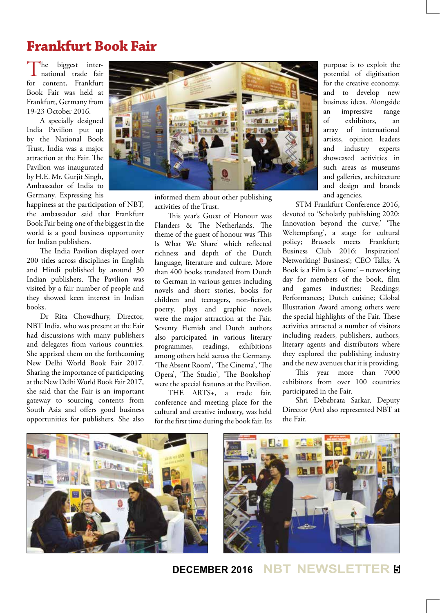# **Frankfurt Book Fair**

The biggest international trade fair for content, Frankfurt Book Fair was held at Frankfurt, Germany from 19-23 October 2016.

A specially designed India Pavilion put up by the National Book Trust, India was a major attraction at the Fair. The Pavilion was inaugurated by H.E. Mr. Gurjit Singh, Ambassador of India to Germany. Expressing his

happiness at the participation of NBT, the ambassador said that Frankfurt Book Fair being one of the biggest in the world is a good business opportunity for Indian publishers.

The India Pavilion displayed over 200 titles across disciplines in English and Hindi published by around 30 Indian publishers. The Pavilion was visited by a fair number of people and they showed keen interest in Indian books.

Dr Rita Chowdhury, Director, NBT India, who was present at the Fair had discussions with many publishers and delegates from various countries. She apprised them on the forthcoming New Delhi World Book Fair 2017. Sharing the importance of participating at the New Delhi World Book Fair 2017, she said that the Fair is an important gateway to sourcing contents from South Asia and offers good business opportunities for publishers. She also



informed them about other publishing activities of the Trust.

This year's Guest of Honour was Flanders & The Netherlands. The theme of the guest of honour was 'This Is What We Share' which reflected richness and depth of the Dutch language, literature and culture. More than 400 books translated from Dutch to German in various genres including novels and short stories, books for children and teenagers, non-fiction, poetry, plays and graphic novels were the major attraction at the Fair. Seventy Flemish and Dutch authors also participated in various literary programmes, readings, exhibitions among others held across the Germany. 'The Absent Room', 'The Cinema', 'The Opera', 'The Studio', 'The Bookshop' were the special features at the Pavilion.

THE ARTS+, a trade fair, conference and meeting place for the cultural and creative industry, was held for the first time during the book fair. Its

purpose is to exploit the potential of digitisation for the creative economy, and to develop new business ideas. Alongside an impressive range of exhibitors, an array of international artists, opinion leaders and industry experts showcased activities in such areas as museums and galleries, architecture and design and brands and agencies.

STM Frankfurt Conference 2016, devoted to 'Scholarly publishing 2020: Innovation beyond the curve;' 'The Weltempfang', a stage for cultural policy; Brussels meets Frankfurt; Business Club 2016: Inspiration! Networking! Business!; CEO Talks; 'A Book is a Film is a Game' – networking day for members of the book, film and games industries; Readings; Performances; Dutch cuisine; Global Illustration Award among others were the special highlights of the Fair. These activities attracted a number of visitors including readers, publishers, authors, literary agents and distributors where they explored the publishing industry and the new avenues that it is providing.

This year more than 7000 exhibitors from over 100 countries participated in the Fair.

Shri Debabrata Sarkar, Deputy Director (Art) also represented NBT at the Fair.



#### **DECEMBER 2016 NBT NEWSLETTER <sup>5</sup>**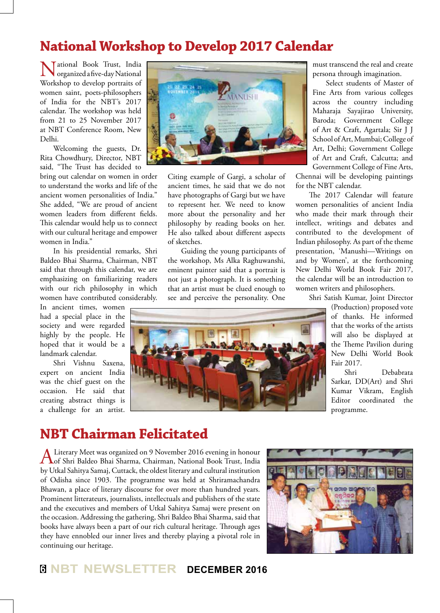## **National Workshop to Develop 2017 Calendar**

Tational Book Trust, India organized a five-day National Workshop to develop portraits of women saint, poets-philosophers of India for the NBT's 2017 calendar. The workshop was held from 21 to 25 November 2017 at NBT Conference Room, New Delhi.

Welcoming the guests, Dr. Rita Chowdhury, Director, NBT said, "The Trust has decided to

bring out calendar on women in order to understand the works and life of the ancient women personalities of India." She added, "We are proud of ancient women leaders from different fields. This calendar would help us to connect with our cultural heritage and empower women in India."

In his presidential remarks, Shri Baldeo Bhai Sharma, Chairman, NBT said that through this calendar, we are emphasizing on familiarizing readers with our rich philosophy in which women have contributed considerably.

In ancient times, women had a special place in the society and were regarded highly by the people. He hoped that it would be a landmark calendar.

Shri Vishnu Saxena, expert on ancient India was the chief guest on the occasion. He said that creating abstract things is a challenge for an artist.



Citing example of Gargi, a scholar of ancient times, he said that we do not have photographs of Gargi but we have to represent her. We need to know more about the personality and her philosophy by reading books on her. He also talked about different aspects of sketches.

Guiding the young participants of the workshop, Ms Alka Raghuwanshi, eminent painter said that a portrait is not just a photograph. It is something that an artist must be clued enough to see and perceive the personality. One must transcend the real and create persona through imagination.

Select students of Master of Fine Arts from various colleges across the country including Maharaja Sayajirao University, Baroda; Government College of Art & Craft, Agartala; Sir J J School of Art, Mumbai; College of Art, Delhi; Government College of Art and Craft, Calcutta; and Government College of Fine Arts,

Chennai will be developing paintings for the NBT calendar.

The 2017 Calendar will feature women personalities of ancient India who made their mark through their intellect, writings and debates and contributed to the development of Indian philosophy. As part of the theme presentation, 'Manushi—Writings on and by Women', at the forthcoming New Delhi World Book Fair 2017, the calendar will be an introduction to women writers and philosophers.

Shri Satish Kumar, Joint Director (Production) proposed vote of thanks. He informed that the works of the artists will also be displayed at the Theme Pavilion during New Delhi World Book Fair 2017.

> Shri Debabrata Sarkar, DD(Art) and Shri Kumar Vikram, English Editor coordinated the programme.

## **NBT Chairman Felicitated**

A Literary Meet was organized on 9 November 2016 evening in honour<br>
of Shri Baldeo Bhai Sharma, Chairman, National Book Trust, India by Utkal Sahitya Samaj, Cuttack, the oldest literary and cultural institution of Odisha since 1903. The programme was held at Shriramachandra Bhawan, a place of literary discourse for over more than hundred years. Prominent litterateurs, journalists, intellectuals and publishers of the state and the executives and members of Utkal Sahitya Samaj were present on the occasion. Addressing the gathering, Shri Baldeo Bhai Sharma, said that books have always been a part of our rich cultural heritage. Through ages they have ennobled our inner lives and thereby playing a pivotal role in continuing our heritage.



#### **<sup>6</sup> NBT NEWSLETTER DECEMBER 2016**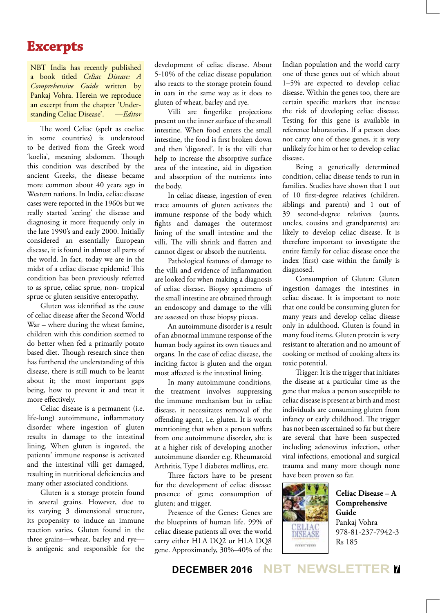#### **Excerpts**

NBT India has recently published a book titled *Celiac Disease: A Comprehensive Guide* written by Pankaj Vohra. Herein we reproduce an excerpt from the chapter 'Understanding Celiac Disease'. —*Editor*

The word Celiac (spelt as coeliac in some countries) is understood to be derived from the Greek word 'koelia', meaning abdomen. Though this condition was described by the ancient Greeks, the disease became more common about 40 years ago in Western nations. In India, celiac disease cases were reported in the 1960s but we really started 'seeing' the disease and diagnosing it more frequently only in the late 1990's and early 2000. Initially considered an essentially European disease, it is found in almost all parts of the world. In fact, today we are in the midst of a celiac disease epidemic! This condition has been previously referred to as sprue, celiac sprue, non- tropical sprue or gluten sensitive enteropathy.

Gluten was identified as the cause of celiac disease after the Second World War – where during the wheat famine, children with this condition seemed to do better when fed a primarily potato based diet. Though research since then has furthered the understanding of this disease, there is still much to be learnt about it; the most important gaps being, how to prevent it and treat it more effectively.

Celiac disease is a permanent (i.e. life-long) autoimmune, inflammatory disorder where ingestion of gluten results in damage to the intestinal lining. When gluten is ingested, the patients' immune response is activated and the intestinal villi get damaged, resulting in nutritional deficiencies and many other associated conditions.

Gluten is a storage protein found in several grains. However, due to its varying 3 dimensional structure, its propensity to induce an immune reaction varies. Gluten found in the three grains—wheat, barley and rye is antigenic and responsible for the

development of celiac disease. About 5-10% of the celiac disease population also reacts to the storage protein found in oats in the same way as it does to gluten of wheat, barley and rye.

Villi are fingerlike projections present on the inner surface of the small intestine. When food enters the small intestine, the food is first broken down and then 'digested'. It is the villi that help to increase the absorptive surface area of the intestine, aid in digestion and absorption of the nutrients into the body.

In celiac disease, ingestion of even trace amounts of gluten activates the immune response of the body which fights and damages the outermost lining of the small intestine and the villi. The villi shrink and flatten and cannot digest or absorb the nutrients.

Pathological features of damage to the villi and evidence of inflammation are looked for when making a diagnosis of celiac disease. Biopsy specimens of the small intestine are obtained through an endoscopy and damage to the villi are assessed on these biopsy pieces.

An autoimmune disorder is a result of an abnormal immune response of the human body against its own tissues and organs. In the case of celiac disease, the inciting factor is gluten and the organ most affected is the intestinal lining.

In many autoimmune conditions, the treatment involves suppressing the immune mechanism but in celiac disease, it necessitates removal of the offending agent, i.e. gluten. It is worth mentioning that when a person suffers from one autoimmune disorder, she is at a higher risk of developing another autoimmune disorder e.g. Rheumatoid Arthritis, Type I diabetes mellitus, etc.

Three factors have to be present for the development of celiac disease: presence of gene; consumption of gluten; and trigger.

Presence of the Genes: Genes are the blueprints of human life. 99% of celiac disease patients all over the world carry either HLA DQ2 or HLA DQ8 gene. Approximately, 30%–40% of the

Indian population and the world carry one of these genes out of which about 1–5% are expected to develop celiac disease. Within the genes too, there are certain specific markers that increase the risk of developing celiac disease. Testing for this gene is available in reference laboratories. If a person does not carry one of these genes, it is very unlikely for him or her to develop celiac disease.

Being a genetically determined condition, celiac disease tends to run in families. Studies have shown that 1 out of 10 first-degree relatives (children, siblings and parents) and 1 out of 39 second-degree relatives (aunts, uncles, cousins and grandparents) are likely to develop celiac disease. It is therefore important to investigate the entire family for celiac disease once the index (first) case within the family is diagnosed.

Consumption of Gluten: Gluten ingestion damages the intestines in celiac disease. It is important to note that one could be consuming gluten for many years and develop celiac disease only in adulthood. Gluten is found in many food items. Gluten protein is very resistant to alteration and no amount of cooking or method of cooking alters its toxic potential.

Trigger: It is the trigger that initiates the disease at a particular time as the gene that makes a person susceptible to celiac disease is present at birth and most individuals are consuming gluten from infancy or early childhood. The trigger has not been ascertained so far but there are several that have been suspected including adenovirus infection, other viral infections, emotional and surgical trauma and many more though none have been proven so far.



**Celiac Disease – A Comprehensive Guide** Pankaj Vohra 978-81-237-7942-3 Rs 185

**DECEMBER 2016 NBT NEWSLETTER <sup>7</sup>**